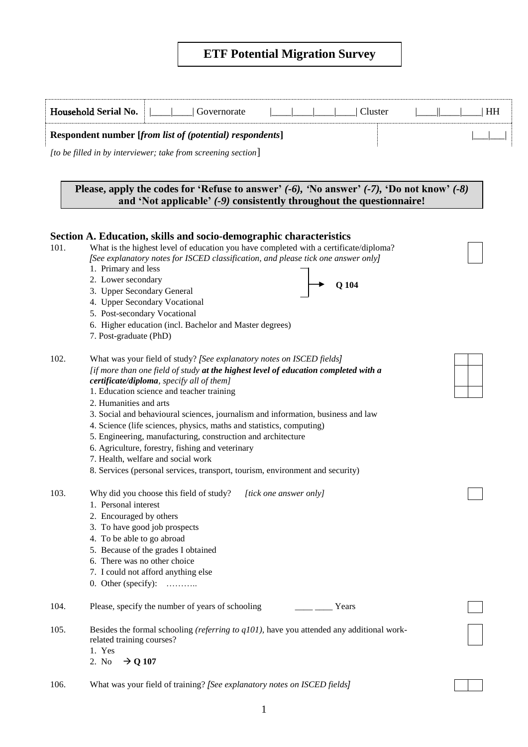# **ETF Potential Migration Survey**

|      | Household Serial No.                                                                                                                                                          | Governorate                                                                                                                                                                                                                                                                                                                                                                                         |  |         | Cluster | HH |
|------|-------------------------------------------------------------------------------------------------------------------------------------------------------------------------------|-----------------------------------------------------------------------------------------------------------------------------------------------------------------------------------------------------------------------------------------------------------------------------------------------------------------------------------------------------------------------------------------------------|--|---------|---------|----|
|      |                                                                                                                                                                               | Respondent number [from list of (potential) respondents]                                                                                                                                                                                                                                                                                                                                            |  |         |         |    |
|      |                                                                                                                                                                               | [to be filled in by interviewer; take from screening section]                                                                                                                                                                                                                                                                                                                                       |  |         |         |    |
|      |                                                                                                                                                                               |                                                                                                                                                                                                                                                                                                                                                                                                     |  |         |         |    |
|      |                                                                                                                                                                               | Please, apply the codes for 'Refuse to answer' $(-6)$ , 'No answer' $(-7)$ , 'Do not know' $(-8)$<br>and 'Not applicable' (-9) consistently throughout the questionnaire!                                                                                                                                                                                                                           |  |         |         |    |
|      |                                                                                                                                                                               | Section A. Education, skills and socio-demographic characteristics                                                                                                                                                                                                                                                                                                                                  |  |         |         |    |
| 101. | 1. Primary and less                                                                                                                                                           | What is the highest level of education you have completed with a certificate/diploma?<br>[See explanatory notes for ISCED classification, and please tick one answer only]                                                                                                                                                                                                                          |  |         |         |    |
|      | 2. Lower secondary<br>3. Upper Secondary General                                                                                                                              |                                                                                                                                                                                                                                                                                                                                                                                                     |  | $Q$ 104 |         |    |
|      | 5. Post-secondary Vocational<br>7. Post-graduate (PhD)                                                                                                                        | 4. Upper Secondary Vocational<br>6. Higher education (incl. Bachelor and Master degrees)                                                                                                                                                                                                                                                                                                            |  |         |         |    |
| 102. |                                                                                                                                                                               | What was your field of study? [See explanatory notes on ISCED fields]<br>[if more than one field of study at the highest level of education completed with a<br>certificate/diploma, specify all of them]<br>1. Education science and teacher training                                                                                                                                              |  |         |         |    |
|      | 2. Humanities and arts                                                                                                                                                        | 3. Social and behavioural sciences, journalism and information, business and law<br>4. Science (life sciences, physics, maths and statistics, computing)<br>5. Engineering, manufacturing, construction and architecture<br>6. Agriculture, forestry, fishing and veterinary<br>7. Health, welfare and social work<br>8. Services (personal services, transport, tourism, environment and security) |  |         |         |    |
| 103. | 1. Personal interest<br>2. Encouraged by others<br>3. To have good job prospects<br>4. To be able to go abroad<br>6. There was no other choice<br>0. Other (specify): $\dots$ | Why did you choose this field of study? [tick one answer only]<br>5. Because of the grades I obtained<br>7. I could not afford anything else                                                                                                                                                                                                                                                        |  |         |         |    |
| 104. |                                                                                                                                                                               | Please, specify the number of years of schooling                                                                                                                                                                                                                                                                                                                                                    |  | Years   |         |    |
| 105. | related training courses?<br>1. Yes<br>2. No<br>$\rightarrow$ Q 107                                                                                                           | Besides the formal schooling (referring to $q101$ ), have you attended any additional work-                                                                                                                                                                                                                                                                                                         |  |         |         |    |
| 106. |                                                                                                                                                                               | What was your field of training? [See explanatory notes on ISCED fields]                                                                                                                                                                                                                                                                                                                            |  |         |         |    |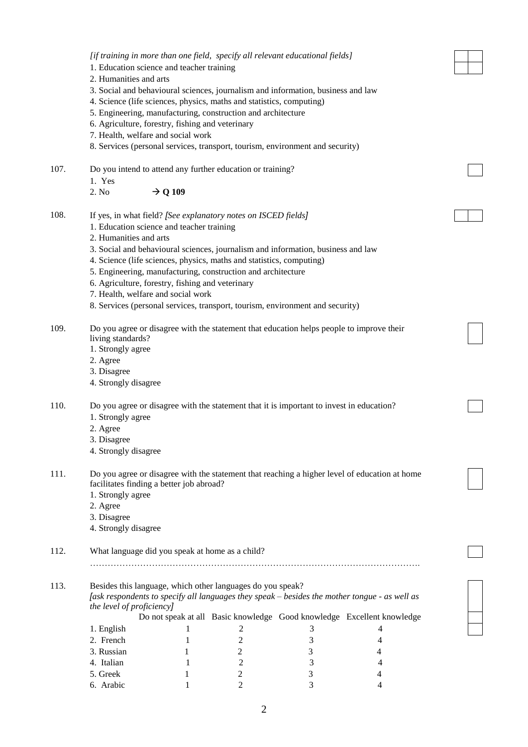|      |                                                                     |                     | [if training in more than one field, specify all relevant educational fields]                 |        |        |  |
|------|---------------------------------------------------------------------|---------------------|-----------------------------------------------------------------------------------------------|--------|--------|--|
|      | 1. Education science and teacher training<br>2. Humanities and arts |                     |                                                                                               |        |        |  |
|      |                                                                     |                     | 3. Social and behavioural sciences, journalism and information, business and law              |        |        |  |
|      |                                                                     |                     | 4. Science (life sciences, physics, maths and statistics, computing)                          |        |        |  |
|      |                                                                     |                     | 5. Engineering, manufacturing, construction and architecture                                  |        |        |  |
|      | 6. Agriculture, forestry, fishing and veterinary                    |                     |                                                                                               |        |        |  |
|      | 7. Health, welfare and social work                                  |                     |                                                                                               |        |        |  |
|      |                                                                     |                     | 8. Services (personal services, transport, tourism, environment and security)                 |        |        |  |
| 107. | 1. Yes                                                              |                     | Do you intend to attend any further education or training?                                    |        |        |  |
|      | 2. No                                                               | $\rightarrow$ Q 109 |                                                                                               |        |        |  |
| 108. |                                                                     |                     | If yes, in what field? [See explanatory notes on ISCED fields]                                |        |        |  |
|      | 1. Education science and teacher training                           |                     |                                                                                               |        |        |  |
|      | 2. Humanities and arts                                              |                     |                                                                                               |        |        |  |
|      |                                                                     |                     | 3. Social and behavioural sciences, journalism and information, business and law              |        |        |  |
|      |                                                                     |                     | 4. Science (life sciences, physics, maths and statistics, computing)                          |        |        |  |
|      |                                                                     |                     | 5. Engineering, manufacturing, construction and architecture                                  |        |        |  |
|      | 6. Agriculture, forestry, fishing and veterinary                    |                     |                                                                                               |        |        |  |
|      | 7. Health, welfare and social work                                  |                     |                                                                                               |        |        |  |
|      |                                                                     |                     | 8. Services (personal services, transport, tourism, environment and security)                 |        |        |  |
| 109. |                                                                     |                     | Do you agree or disagree with the statement that education helps people to improve their      |        |        |  |
|      | living standards?                                                   |                     |                                                                                               |        |        |  |
|      | 1. Strongly agree                                                   |                     |                                                                                               |        |        |  |
|      | 2. Agree                                                            |                     |                                                                                               |        |        |  |
|      | 3. Disagree                                                         |                     |                                                                                               |        |        |  |
|      | 4. Strongly disagree                                                |                     |                                                                                               |        |        |  |
| 110. |                                                                     |                     | Do you agree or disagree with the statement that it is important to invest in education?      |        |        |  |
|      | 1. Strongly agree                                                   |                     |                                                                                               |        |        |  |
|      | 2. Agree                                                            |                     |                                                                                               |        |        |  |
|      | 3. Disagree                                                         |                     |                                                                                               |        |        |  |
|      | 4. Strongly disagree                                                |                     |                                                                                               |        |        |  |
| 111. |                                                                     |                     | Do you agree or disagree with the statement that reaching a higher level of education at home |        |        |  |
|      | facilitates finding a better job abroad?                            |                     |                                                                                               |        |        |  |
|      | 1. Strongly agree                                                   |                     |                                                                                               |        |        |  |
|      | 2. Agree                                                            |                     |                                                                                               |        |        |  |
|      | 3. Disagree<br>4. Strongly disagree                                 |                     |                                                                                               |        |        |  |
|      |                                                                     |                     |                                                                                               |        |        |  |
| 112. | What language did you speak at home as a child?                     |                     |                                                                                               |        |        |  |
|      |                                                                     |                     |                                                                                               |        |        |  |
| 113. |                                                                     |                     | Besides this language, which other languages do you speak?                                    |        |        |  |
|      |                                                                     |                     | [ask respondents to specify all languages they speak - besides the mother tongue - as well as |        |        |  |
|      | the level of proficiency]                                           |                     |                                                                                               |        |        |  |
|      |                                                                     |                     | Do not speak at all Basic knowledge Good knowledge Excellent knowledge                        |        |        |  |
|      | 1. English                                                          | 1                   | 2                                                                                             | 3      | 4      |  |
|      | 2. French                                                           | 1                   | 2                                                                                             | 3      | 4      |  |
|      | 3. Russian                                                          | 1                   | 2                                                                                             | 3      | 4      |  |
|      | 4. Italian                                                          | 1                   | $\sqrt{2}$                                                                                    | 3      | 4      |  |
|      | 5. Greek<br>6. Arabic                                               | 1<br>1              | 2<br>2                                                                                        | 3<br>3 | 4<br>4 |  |
|      |                                                                     |                     |                                                                                               |        |        |  |
|      |                                                                     |                     |                                                                                               |        |        |  |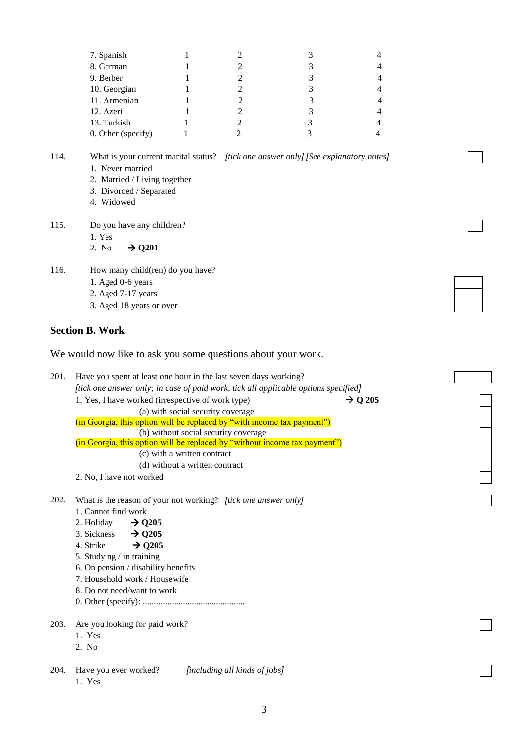| 7. Spanish         |  |  |
|--------------------|--|--|
| 8. German          |  |  |
| 9. Berber          |  |  |
| 10. Georgian       |  |  |
| 11. Armenian       |  |  |
| 12. Azeri          |  |  |
| 13. Turkish        |  |  |
| 0. Other (specify) |  |  |

114. What is your current marital status? *[tick one answer only] [See explanatory notes]*

- 1. Never married
- 2. Married / Living together
- 3. Divorced / Separated
- 4. Widowed
- 115. Do you have any children?
	- 1. Yes
	- 2. No  $\rightarrow$  Q201
- 116. How many child(ren) do you have?
	- 1. Aged 0-6 years
	- 2. Aged 7-17 years
	- 3. Aged 18 years or over

## **Section B. Work**

We would now like to ask you some questions about your work.

201. Have you spent at least one hour in the last seven days working? *[tick one answer only; in case of paid work, tick all applicable options specified]* 1. Yes, I have worked (irrespective of work type)  $\rightarrow Q$  205 (a) with social security coverage (in Georgia, this option will be replaced by "with income tax payment") (b) without social security coverage (in Georgia, this option will be replaced by "without income tax payment") (c) with a written contract (d) without a written contract 2. No, I have not worked

- 202. What is the reason of your not working? *[tick one answer only]*
	- 1. Cannot find work
	- 2. Holiday  $\rightarrow$  **Q205**
	- 3. Sickness  $\rightarrow$  0205
	- 4. Strike  $\rightarrow$  **Q205**
	- 5. Studying / in training
	- 6. On pension / disability benefits
	- 7. Household work / Housewife
	- 8. Do not need/want to work
	- 0. Other (specify): ..............................................
- 203. Are you looking for paid work?
	- 1. Yes
	- 2. No

204. Have you ever worked? *[including all kinds of jobs]* 1. Yes

3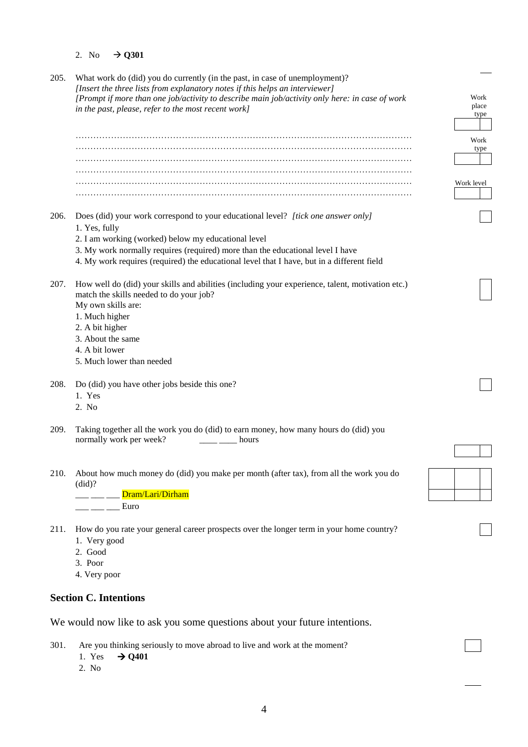## 2. No  $\rightarrow$  Q301

| 205. | What work do (did) you do currently (in the past, in case of unemployment)?<br>[Insert the three lists from explanatory notes if this helps an interviewer]<br>[Prompt if more than one job/activity to describe main job/activity only here: in case of work<br>in the past, please, refer to the most recent work]                      | Work<br>place<br>type |
|------|-------------------------------------------------------------------------------------------------------------------------------------------------------------------------------------------------------------------------------------------------------------------------------------------------------------------------------------------|-----------------------|
|      |                                                                                                                                                                                                                                                                                                                                           | Work<br>type          |
|      |                                                                                                                                                                                                                                                                                                                                           |                       |
|      |                                                                                                                                                                                                                                                                                                                                           | Work level            |
| 206. | Does (did) your work correspond to your educational level? [tick one answer only]<br>1. Yes, fully<br>2. I am working (worked) below my educational level<br>3. My work normally requires (required) more than the educational level I have<br>4. My work requires (required) the educational level that I have, but in a different field |                       |
| 207. | How well do (did) your skills and abilities (including your experience, talent, motivation etc.)<br>match the skills needed to do your job?<br>My own skills are:<br>1. Much higher<br>2. A bit higher<br>3. About the same<br>4. A bit lower                                                                                             |                       |
|      | 5. Much lower than needed                                                                                                                                                                                                                                                                                                                 |                       |
| 208. | Do (did) you have other jobs beside this one?<br>1. Yes<br>2. No                                                                                                                                                                                                                                                                          |                       |
| 209. | Taking together all the work you do (did) to earn money, how many hours do (did) you<br>normally work per week?<br>hours                                                                                                                                                                                                                  |                       |
| 210. | About how much money do (did) you make per month (after tax), from all the work you do<br>(did)?<br>Dram/Lari/Dirham<br>Euro                                                                                                                                                                                                              |                       |
| 211. | How do you rate your general career prospects over the longer term in your home country?<br>1. Very good<br>2. Good<br>3. Poor<br>4. Very poor                                                                                                                                                                                            |                       |
|      | <b>Section C. Intentions</b>                                                                                                                                                                                                                                                                                                              |                       |
|      | We would now like to ask you some questions about your future intentions.                                                                                                                                                                                                                                                                 |                       |

301. Are you thinking seriously to move abroad to live and work at the moment?<br>1. Yes  $\rightarrow$  Q401

- $\rightarrow$  Q401
- 2. No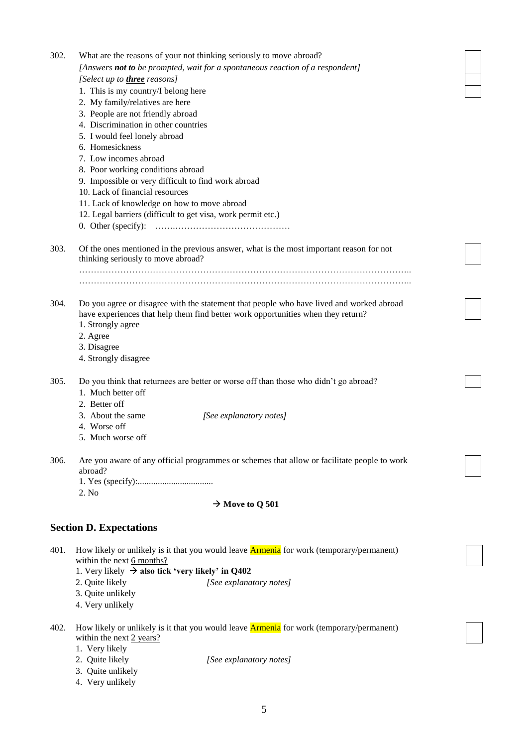| 302. | What are the reasons of your not thinking seriously to move abroad?<br>[Answers not to be prompted, wait for a spontaneous reaction of a respondent]<br>[Select up to <b>three</b> reasons]<br>1. This is my country/I belong here<br>2. My family/relatives are here<br>3. People are not friendly abroad<br>4. Discrimination in other countries<br>5. I would feel lonely abroad<br>6. Homesickness<br>7. Low incomes abroad<br>8. Poor working conditions abroad<br>9. Impossible or very difficult to find work abroad<br>10. Lack of financial resources<br>11. Lack of knowledge on how to move abroad<br>12. Legal barriers (difficult to get visa, work permit etc.)<br>0. Other (specify): |  |
|------|------------------------------------------------------------------------------------------------------------------------------------------------------------------------------------------------------------------------------------------------------------------------------------------------------------------------------------------------------------------------------------------------------------------------------------------------------------------------------------------------------------------------------------------------------------------------------------------------------------------------------------------------------------------------------------------------------|--|
| 303. | Of the ones mentioned in the previous answer, what is the most important reason for not<br>thinking seriously to move abroad?                                                                                                                                                                                                                                                                                                                                                                                                                                                                                                                                                                        |  |
| 304. | Do you agree or disagree with the statement that people who have lived and worked abroad<br>have experiences that help them find better work opportunities when they return?<br>1. Strongly agree<br>2. Agree<br>3. Disagree<br>4. Strongly disagree                                                                                                                                                                                                                                                                                                                                                                                                                                                 |  |
| 305. | Do you think that returnees are better or worse off than those who didn't go abroad?<br>1. Much better off<br>2. Better off<br>3. About the same<br>[See explanatory notes]<br>4. Worse off<br>5. Much worse off                                                                                                                                                                                                                                                                                                                                                                                                                                                                                     |  |
| 306. | Are you aware of any official programmes or schemes that allow or facilitate people to work<br>abroad?<br>2. No<br>$\rightarrow$ Move to Q 501                                                                                                                                                                                                                                                                                                                                                                                                                                                                                                                                                       |  |
|      | <b>Section D. Expectations</b>                                                                                                                                                                                                                                                                                                                                                                                                                                                                                                                                                                                                                                                                       |  |
| 401. | How likely or unlikely is it that you would leave <b>Armenia</b> for work (temporary/permanent)<br>within the next 6 months?<br>1. Very likely $\rightarrow$ also tick 'very likely' in Q402<br>2. Quite likely<br>[See explanatory notes]<br>3. Quite unlikely<br>4. Very unlikely                                                                                                                                                                                                                                                                                                                                                                                                                  |  |
| 402. | How likely or unlikely is it that you would leave <b>Armenia</b> for work (temporary/permanent)<br>within the next 2 years?<br>1. Very likely<br>2. Quite likely<br>[See explanatory notes]<br>3. Quite unlikely<br>4. Very unlikely                                                                                                                                                                                                                                                                                                                                                                                                                                                                 |  |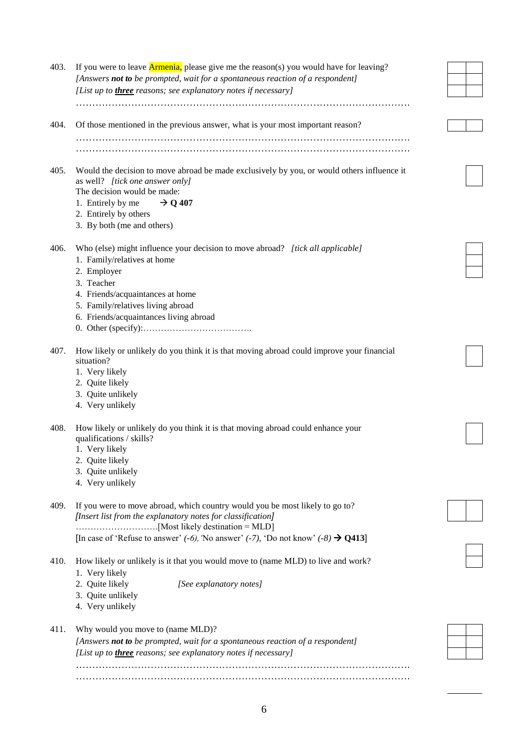| 403. | If you were to leave <b>Armenia</b> , please give me the reason(s) you would have for leaving?<br>[Answers not to be prompted, wait for a spontaneous reaction of a respondent]                                                                     |  |
|------|-----------------------------------------------------------------------------------------------------------------------------------------------------------------------------------------------------------------------------------------------------|--|
|      | [List up to <i>three</i> reasons; see explanatory notes if necessary]                                                                                                                                                                               |  |
| 404. | Of those mentioned in the previous answer, what is your most important reason?                                                                                                                                                                      |  |
|      |                                                                                                                                                                                                                                                     |  |
|      |                                                                                                                                                                                                                                                     |  |
| 405. | Would the decision to move abroad be made exclusively by you, or would others influence it<br>as well? [tick one answer only]<br>The decision would be made:<br>1. Entirely by me<br>$\rightarrow$ Q 407<br>2. Entirely by others                   |  |
|      | 3. By both (me and others)                                                                                                                                                                                                                          |  |
| 406. | Who (else) might influence your decision to move abroad? [tick all applicable]<br>1. Family/relatives at home<br>2. Employer<br>3. Teacher<br>4. Friends/acquaintances at home                                                                      |  |
|      | 5. Family/relatives living abroad<br>6. Friends/acquaintances living abroad                                                                                                                                                                         |  |
| 407. | How likely or unlikely do you think it is that moving abroad could improve your financial<br>situation?<br>1. Very likely<br>2. Quite likely<br>3. Quite unlikely<br>4. Very unlikely                                                               |  |
| 408. | How likely or unlikely do you think it is that moving abroad could enhance your<br>qualifications / skills?<br>1. Very likely<br>2. Quite likely<br>3. Quite unlikely<br>4. Very unlikely                                                           |  |
| 409. | If you were to move abroad, which country would you be most likely to go to?<br>[Insert list from the explanatory notes for classification]<br>[In case of 'Refuse to answer' $(-6)$ , 'No answer' $(-7)$ , 'Do not know' $(-8) \rightarrow Q413$ ] |  |
| 410. | How likely or unlikely is it that you would move to (name MLD) to live and work?<br>1. Very likely<br>2. Quite likely<br>[See explanatory notes]<br>3. Quite unlikely<br>4. Very unlikely                                                           |  |
| 411. | Why would you move to (name MLD)?<br>[Answers not to be prompted, wait for a spontaneous reaction of a respondent]<br>[List up to <i>three</i> reasons; see explanatory notes if necessary]                                                         |  |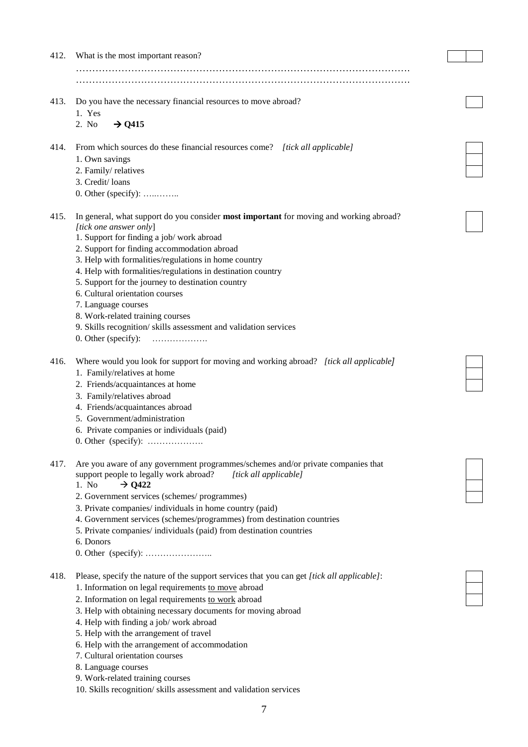| 412. | What is the most important reason?                                                         |  |
|------|--------------------------------------------------------------------------------------------|--|
|      |                                                                                            |  |
|      |                                                                                            |  |
|      |                                                                                            |  |
| 413. | Do you have the necessary financial resources to move abroad?                              |  |
|      | 1. Yes                                                                                     |  |
|      | $\rightarrow$ Q415<br>2. No                                                                |  |
|      |                                                                                            |  |
| 414. | From which sources do these financial resources come? [tick all applicable]                |  |
|      | 1. Own savings                                                                             |  |
|      | 2. Family/relatives                                                                        |  |
|      | 3. Credit/loans                                                                            |  |
|      | $0.$ Other (specify):                                                                      |  |
| 415. | In general, what support do you consider most important for moving and working abroad?     |  |
|      | [tick one answer only]                                                                     |  |
|      | 1. Support for finding a job/ work abroad                                                  |  |
|      | 2. Support for finding accommodation abroad                                                |  |
|      | 3. Help with formalities/regulations in home country                                       |  |
|      | 4. Help with formalities/regulations in destination country                                |  |
|      | 5. Support for the journey to destination country                                          |  |
|      | 6. Cultural orientation courses                                                            |  |
|      | 7. Language courses                                                                        |  |
|      | 8. Work-related training courses                                                           |  |
|      | 9. Skills recognition/skills assessment and validation services                            |  |
|      | 0. Other (specify):<br>.                                                                   |  |
| 416. | Where would you look for support for moving and working abroad? [tick all applicable]      |  |
|      | 1. Family/relatives at home                                                                |  |
|      | 2. Friends/acquaintances at home                                                           |  |
|      | 3. Family/relatives abroad                                                                 |  |
|      | 4. Friends/acquaintances abroad                                                            |  |
|      | 5. Government/administration                                                               |  |
|      | 6. Private companies or individuals (paid)                                                 |  |
|      | 0. Other (specify): $\dots$                                                                |  |
|      |                                                                                            |  |
| 417. | Are you aware of any government programmes/schemes and/or private companies that           |  |
|      | support people to legally work abroad?<br>[tick all applicable]                            |  |
|      | 1. No.<br>$\rightarrow$ Q422                                                               |  |
|      | 2. Government services (schemes/programmes)                                                |  |
|      | 3. Private companies/individuals in home country (paid)                                    |  |
|      | 4. Government services (schemes/programmes) from destination countries                     |  |
|      | 5. Private companies/individuals (paid) from destination countries                         |  |
|      | 6. Donors                                                                                  |  |
|      | 0. Other (specify): $\dots$                                                                |  |
| 418. | Please, specify the nature of the support services that you can get [tick all applicable]: |  |
|      | 1. Information on legal requirements to move abroad                                        |  |
|      | 2. Information on legal requirements to work abroad                                        |  |
|      | 3. Help with obtaining necessary documents for moving abroad                               |  |
|      | 4. Help with finding a job/work abroad                                                     |  |
|      | 5. Help with the arrangement of travel                                                     |  |
|      | 6. Help with the arrangement of accommodation                                              |  |
|      | 7. Cultural orientation courses                                                            |  |
|      | 8. Language courses                                                                        |  |
|      | 9. Work-related training courses                                                           |  |

7

10. Skills recognition/ skills assessment and validation services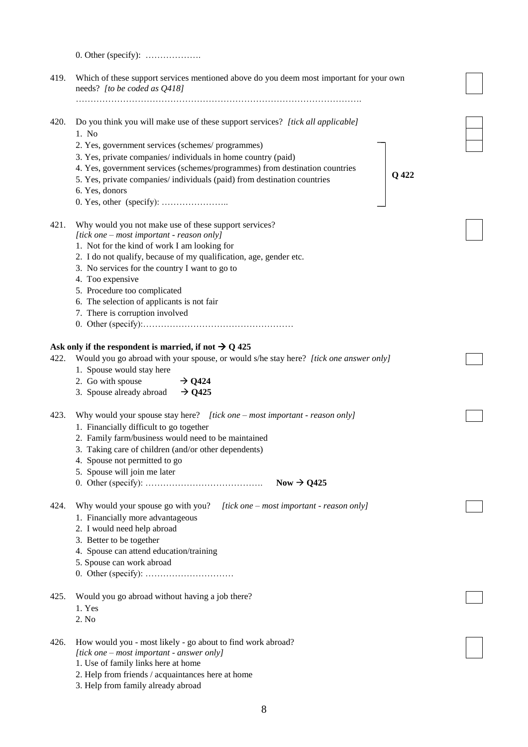|      | 0. Other (specify): $\dots$                                                                                             |       |
|------|-------------------------------------------------------------------------------------------------------------------------|-------|
| 419. | Which of these support services mentioned above do you deem most important for your own<br>needs? [to be coded as Q418] |       |
|      |                                                                                                                         |       |
| 420. | Do you think you will make use of these support services? [tick all applicable]<br>1. No                                |       |
|      | 2. Yes, government services (schemes/programmes)                                                                        |       |
|      | 3. Yes, private companies/ individuals in home country (paid)                                                           |       |
|      | 4. Yes, government services (schemes/programmes) from destination countries                                             |       |
|      | 5. Yes, private companies/ individuals (paid) from destination countries                                                | Q 422 |
|      | 6. Yes, donors                                                                                                          |       |
|      |                                                                                                                         |       |
| 421. | Why would you not make use of these support services?                                                                   |       |
|      | [tick one – most important - reason only]                                                                               |       |
|      | 1. Not for the kind of work I am looking for                                                                            |       |
|      | 2. I do not qualify, because of my qualification, age, gender etc.                                                      |       |
|      | 3. No services for the country I want to go to                                                                          |       |
|      | 4. Too expensive                                                                                                        |       |
|      | 5. Procedure too complicated                                                                                            |       |
|      | 6. The selection of applicants is not fair                                                                              |       |
|      | 7. There is corruption involved                                                                                         |       |
|      |                                                                                                                         |       |
|      | Ask only if the respondent is married, if not $\rightarrow$ Q 425                                                       |       |
| 422. | Would you go abroad with your spouse, or would s/he stay here? [tick one answer only]                                   |       |
|      | 1. Spouse would stay here                                                                                               |       |
|      | 2. Go with spouse<br>$\rightarrow$ Q424                                                                                 |       |
|      | 3. Spouse already abroad<br>$\rightarrow$ Q425                                                                          |       |
| 423. | Why would your spouse stay here? $[tick one - most important - reason only]$                                            |       |
|      | 1. Financially difficult to go together                                                                                 |       |
|      | 2. Family farm/business would need to be maintained                                                                     |       |
|      | 3. Taking care of children (and/or other dependents)                                                                    |       |
|      | 4. Spouse not permitted to go                                                                                           |       |
|      | 5. Spouse will join me later                                                                                            |       |
|      | Now $\rightarrow$ Q425                                                                                                  |       |
| 424. | Why would your spouse go with you? $[tick one - most important - reason only]$                                          |       |
|      | 1. Financially more advantageous                                                                                        |       |
|      | 2. I would need help abroad                                                                                             |       |
|      | 3. Better to be together                                                                                                |       |
|      | 4. Spouse can attend education/training                                                                                 |       |
|      | 5. Spouse can work abroad                                                                                               |       |
|      |                                                                                                                         |       |
| 425. | Would you go abroad without having a job there?                                                                         |       |
|      | 1. Yes                                                                                                                  |       |
|      | 2. No                                                                                                                   |       |
| 426. | How would you - most likely - go about to find work abroad?                                                             |       |
|      | [tick one – most important - answer only]                                                                               |       |
|      | 1. Use of family links here at home                                                                                     |       |
|      | 2. Help from friends / acquaintances here at home                                                                       |       |
|      | 3. Help from family already abroad                                                                                      |       |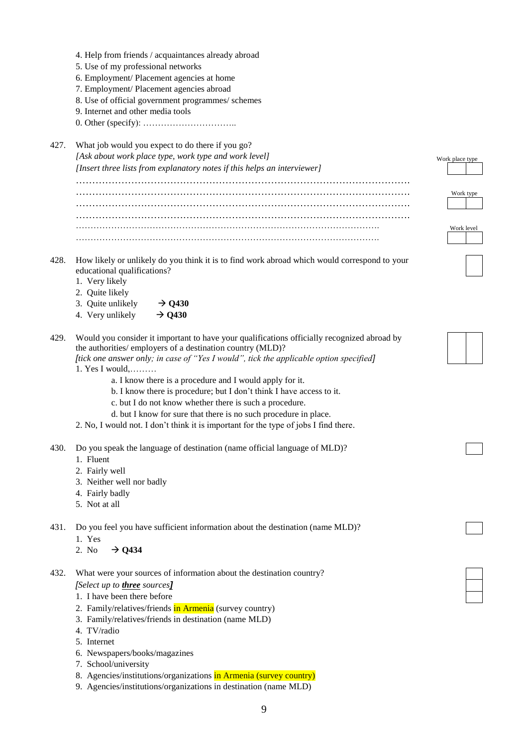|      | 4. Help from friends / acquaintances already abroad                                          |                 |
|------|----------------------------------------------------------------------------------------------|-----------------|
|      | 5. Use of my professional networks                                                           |                 |
|      | 6. Employment/ Placement agencies at home                                                    |                 |
|      | 7. Employment/ Placement agencies abroad                                                     |                 |
|      | 8. Use of official government programmes/ schemes                                            |                 |
|      | 9. Internet and other media tools                                                            |                 |
|      |                                                                                              |                 |
| 427. | What job would you expect to do there if you go?                                             |                 |
|      | [Ask about work place type, work type and work level]                                        | Work place type |
|      | [Insert three lists from explanatory notes if this helps an interviewer]                     |                 |
|      |                                                                                              |                 |
|      |                                                                                              | Work type       |
|      |                                                                                              |                 |
|      |                                                                                              | Work level      |
|      |                                                                                              |                 |
| 428. | How likely or unlikely do you think it is to find work abroad which would correspond to your |                 |
|      | educational qualifications?                                                                  |                 |
|      | 1. Very likely                                                                               |                 |
|      | 2. Quite likely                                                                              |                 |
|      | 3. Quite unlikely<br>$\rightarrow$ Q430                                                      |                 |
|      | 4. Very unlikely<br>$\rightarrow$ Q430                                                       |                 |
| 429. | Would you consider it important to have your qualifications officially recognized abroad by  |                 |
|      | the authorities/ employers of a destination country (MLD)?                                   |                 |
|      | [tick one answer only; in case of "Yes I would", tick the applicable option specified]       |                 |
|      | 1. Yes I would, $\dots$                                                                      |                 |
|      | a. I know there is a procedure and I would apply for it.                                     |                 |
|      | b. I know there is procedure; but I don't think I have access to it.                         |                 |
|      | c. but I do not know whether there is such a procedure.                                      |                 |
|      | d. but I know for sure that there is no such procedure in place.                             |                 |
|      | 2. No, I would not. I don't think it is important for the type of jobs I find there.         |                 |
| 430. | Do you speak the language of destination (name official language of MLD)?                    |                 |
|      | 1. Fluent                                                                                    |                 |
|      | 2. Fairly well                                                                               |                 |
|      | 3. Neither well nor badly                                                                    |                 |
|      | 4. Fairly badly                                                                              |                 |
|      | 5. Not at all                                                                                |                 |
| 431. | Do you feel you have sufficient information about the destination (name MLD)?                |                 |
|      | 1. Yes                                                                                       |                 |
|      | $\rightarrow$ Q434<br>2. No                                                                  |                 |
| 432. | What were your sources of information about the destination country?                         |                 |
|      | [Select up to <b>three</b> sources]                                                          |                 |
|      | 1. I have been there before                                                                  |                 |
|      | 2. Family/relatives/friends in Armenia (survey country)                                      |                 |
|      | 3. Family/relatives/friends in destination (name MLD)                                        |                 |
|      | 4. TV/radio                                                                                  |                 |
|      | 5. Internet                                                                                  |                 |
|      | 6. Newspapers/books/magazines                                                                |                 |
|      | 7. School/university                                                                         |                 |
|      |                                                                                              |                 |

- 8. Agencies/institutions/organizations in Armenia (survey country)
- 9. Agencies/institutions/organizations in destination (name MLD)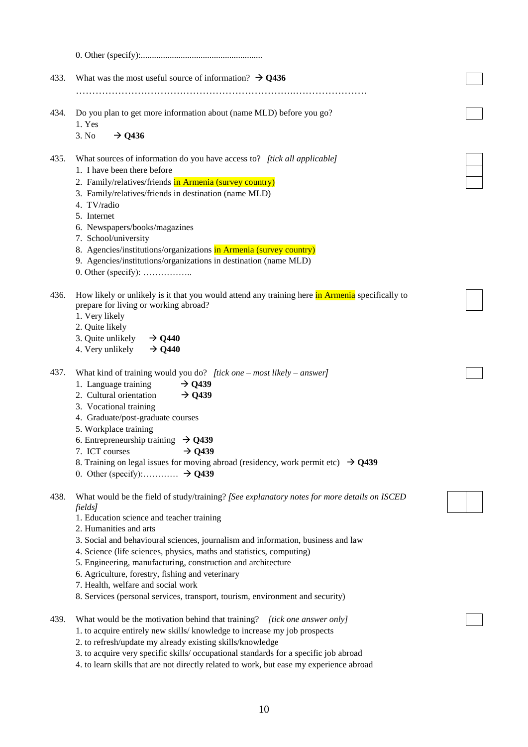| 433. | What was the most useful source of information? $\rightarrow$ Q436                                                                                    |  |
|------|-------------------------------------------------------------------------------------------------------------------------------------------------------|--|
|      |                                                                                                                                                       |  |
| 434. | Do you plan to get more information about (name MLD) before you go?<br>1. Yes                                                                         |  |
|      | $\rightarrow$ Q436<br>3. No                                                                                                                           |  |
|      |                                                                                                                                                       |  |
| 435. | What sources of information do you have access to? [tick all applicable]                                                                              |  |
|      | 1. I have been there before                                                                                                                           |  |
|      | 2. Family/relatives/friends in Armenia (survey country)                                                                                               |  |
|      | 3. Family/relatives/friends in destination (name MLD)<br>4. TV/radio                                                                                  |  |
|      | 5. Internet                                                                                                                                           |  |
|      | 6. Newspapers/books/magazines                                                                                                                         |  |
|      | 7. School/university                                                                                                                                  |  |
|      | 8. Agencies/institutions/organizations in Armenia (survey country)                                                                                    |  |
|      | 9. Agencies/institutions/organizations in destination (name MLD)                                                                                      |  |
|      |                                                                                                                                                       |  |
|      |                                                                                                                                                       |  |
| 436. | How likely or unlikely is it that you would attend any training here in Armenia specifically to                                                       |  |
|      | prepare for living or working abroad?                                                                                                                 |  |
|      | 1. Very likely<br>2. Quite likely                                                                                                                     |  |
|      | 3. Quite unlikely<br>$\rightarrow$ Q440                                                                                                               |  |
|      | 4. Very unlikely<br>$\rightarrow$ Q440                                                                                                                |  |
|      |                                                                                                                                                       |  |
| 437. | What kind of training would you do? <i>[tick one – most likely – answer]</i>                                                                          |  |
|      | 1. Language training<br>$\rightarrow$ Q439                                                                                                            |  |
|      | 2. Cultural orientation<br>$\rightarrow$ Q439                                                                                                         |  |
|      | 3. Vocational training                                                                                                                                |  |
|      | 4. Graduate/post-graduate courses                                                                                                                     |  |
|      | 5. Workplace training<br>6. Entrepreneurship training $\rightarrow$ Q439                                                                              |  |
|      | $\rightarrow$ Q439<br>7. ICT courses                                                                                                                  |  |
|      | 8. Training on legal issues for moving abroad (residency, work permit etc) $\rightarrow$ Q439                                                         |  |
|      | 0. Other (specify): $\ldots$ $\rightarrow$ Q439                                                                                                       |  |
|      |                                                                                                                                                       |  |
| 438. | What would be the field of study/training? [See explanatory notes for more details on ISCED                                                           |  |
|      | fields]                                                                                                                                               |  |
|      | 1. Education science and teacher training<br>2. Humanities and arts                                                                                   |  |
|      | 3. Social and behavioural sciences, journalism and information, business and law                                                                      |  |
|      | 4. Science (life sciences, physics, maths and statistics, computing)                                                                                  |  |
|      | 5. Engineering, manufacturing, construction and architecture                                                                                          |  |
|      | 6. Agriculture, forestry, fishing and veterinary                                                                                                      |  |
|      | 7. Health, welfare and social work                                                                                                                    |  |
|      | 8. Services (personal services, transport, tourism, environment and security)                                                                         |  |
|      |                                                                                                                                                       |  |
| 439. | What would be the motivation behind that training? [tick one answer only]<br>1. to acquire entirely new skills/knowledge to increase my job prospects |  |
|      | 2. to refresh/update my already existing skills/knowledge                                                                                             |  |
|      | 3. to acquire very specific skills/ occupational standards for a specific job abroad                                                                  |  |
|      | 4. to learn skills that are not directly related to work, but ease my experience abroad                                                               |  |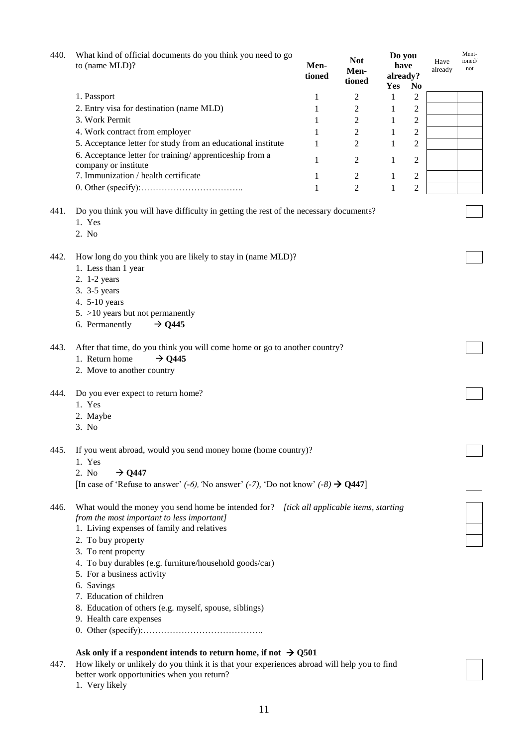| 440. | What kind of official documents do you think you need to go<br>to (name MLD)?                                                          | Men-<br>tioned | <b>Not</b><br>Men-<br>tioned | Do you<br>have<br>already?<br>Yes | N <sub>0</sub> | Have<br>already | Ment-<br>ioned/<br>not |  |  |  |
|------|----------------------------------------------------------------------------------------------------------------------------------------|----------------|------------------------------|-----------------------------------|----------------|-----------------|------------------------|--|--|--|
|      | 1. Passport                                                                                                                            | 1              | 2                            | 1                                 | 2              |                 |                        |  |  |  |
|      | 2. Entry visa for destination (name MLD)                                                                                               | 1              | $\mathfrak{2}$               | 1                                 | 2              |                 |                        |  |  |  |
|      | 3. Work Permit                                                                                                                         | 1              | $\sqrt{2}$                   | 1                                 | 2              |                 |                        |  |  |  |
|      | 4. Work contract from employer                                                                                                         | 1              | $\mathfrak{2}$               | 1                                 | 2              |                 |                        |  |  |  |
|      | 5. Acceptance letter for study from an educational institute                                                                           | 1              | 2                            | 1                                 | 2              |                 |                        |  |  |  |
|      | 6. Acceptance letter for training/apprenticeship from a                                                                                | 1              | 2                            | 1                                 | 2              |                 |                        |  |  |  |
|      | company or institute                                                                                                                   |                |                              |                                   |                |                 |                        |  |  |  |
|      | 7. Immunization / health certificate                                                                                                   | 1              | $\overline{c}$               | 1                                 | 2              |                 |                        |  |  |  |
|      |                                                                                                                                        | 1              | $\overline{2}$               | 1                                 | $\overline{c}$ |                 |                        |  |  |  |
| 441. | Do you think you will have difficulty in getting the rest of the necessary documents?<br>1. Yes<br>2. No                               |                |                              |                                   |                |                 |                        |  |  |  |
| 442. | How long do you think you are likely to stay in (name MLD)?<br>1. Less than 1 year<br>2. 1-2 years<br>3. 3-5 years                     |                |                              |                                   |                |                 |                        |  |  |  |
|      | 4. 5-10 years                                                                                                                          |                |                              |                                   |                |                 |                        |  |  |  |
|      | $5. >10$ years but not permanently                                                                                                     |                |                              |                                   |                |                 |                        |  |  |  |
|      | 6. Permanently<br>$\rightarrow$ Q445                                                                                                   |                |                              |                                   |                |                 |                        |  |  |  |
|      |                                                                                                                                        |                |                              |                                   |                |                 |                        |  |  |  |
| 443. | After that time, do you think you will come home or go to another country?                                                             |                |                              |                                   |                |                 |                        |  |  |  |
|      | 1. Return home<br>$\rightarrow$ Q445                                                                                                   |                |                              |                                   |                |                 |                        |  |  |  |
|      | 2. Move to another country                                                                                                             |                |                              |                                   |                |                 |                        |  |  |  |
| 444. | Do you ever expect to return home?                                                                                                     |                |                              |                                   |                |                 |                        |  |  |  |
|      | 1. Yes                                                                                                                                 |                |                              |                                   |                |                 |                        |  |  |  |
|      | 2. Maybe                                                                                                                               |                |                              |                                   |                |                 |                        |  |  |  |
|      | 3. No                                                                                                                                  |                |                              |                                   |                |                 |                        |  |  |  |
| 445. | If you went abroad, would you send money home (home country)?                                                                          |                |                              |                                   |                |                 |                        |  |  |  |
|      | 1. Yes                                                                                                                                 |                |                              |                                   |                |                 |                        |  |  |  |
|      | 2. No<br>$\rightarrow$ Q447                                                                                                            |                |                              |                                   |                |                 |                        |  |  |  |
|      | [In case of 'Refuse to answer' $(-6)$ , 'No answer' $(-7)$ , 'Do not know' $(-8) \rightarrow Q447$ ]                                   |                |                              |                                   |                |                 |                        |  |  |  |
| 446. | What would the money you send home be intended for? [tick all applicable items, starting<br>from the most important to less important] |                |                              |                                   |                |                 |                        |  |  |  |
|      | 1. Living expenses of family and relatives                                                                                             |                |                              |                                   |                |                 |                        |  |  |  |
|      | 2. To buy property                                                                                                                     |                |                              |                                   |                |                 |                        |  |  |  |
|      | 3. To rent property                                                                                                                    |                |                              |                                   |                |                 |                        |  |  |  |
|      | 4. To buy durables (e.g. furniture/household goods/car)                                                                                |                |                              |                                   |                |                 |                        |  |  |  |
|      | 5. For a business activity                                                                                                             |                |                              |                                   |                |                 |                        |  |  |  |
|      | 6. Savings                                                                                                                             |                |                              |                                   |                |                 |                        |  |  |  |
|      | 7. Education of children                                                                                                               |                |                              |                                   |                |                 |                        |  |  |  |
|      | 8. Education of others (e.g. myself, spouse, siblings)<br>9. Health care expenses                                                      |                |                              |                                   |                |                 |                        |  |  |  |
|      |                                                                                                                                        |                |                              |                                   |                |                 |                        |  |  |  |
|      |                                                                                                                                        |                |                              |                                   |                |                 |                        |  |  |  |
|      | Ask only if a respondent intends to return home, if not $\rightarrow$ Q501                                                             |                |                              |                                   |                |                 |                        |  |  |  |
| 447. | How likely or unlikely do you think it is that your experiences abroad will help you to find                                           |                |                              |                                   |                |                 |                        |  |  |  |
|      | better work opportunities when you return?<br>1. Very likely                                                                           |                |                              |                                   |                |                 |                        |  |  |  |
|      |                                                                                                                                        |                |                              |                                   |                |                 |                        |  |  |  |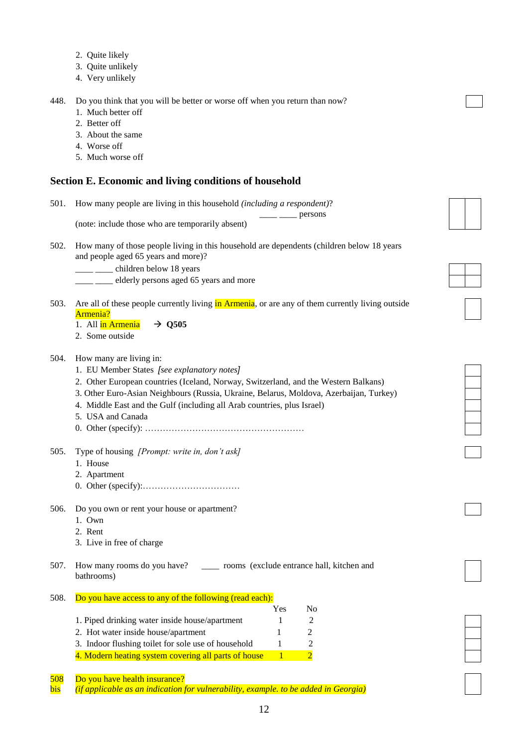- 2. Quite likely
- 3. Quite unlikely
- 4. Very unlikely

448. Do you think that you will be better or worse off when you return than now?

- 1. Much better off
- 2. Better off
- 3. About the same
- 4. Worse off
- 5. Much worse off

### **Section E. Economic and living conditions of household**

501. How many people are living in this household *(including a respondent)*?

(note: include those who are temporarily absent)

502. How many of those people living in this household are dependents (children below 18 years and people aged 65 years and more)?

 $\equiv$  persons

\_\_\_\_ \_\_\_\_ children below 18 years

<sup>11</sup> \_\_\_\_ elderly persons aged 65 years and more

503. Are all of these people currently living in Armenia, or are any of them currently living outside Armenia?

1. All  $\frac{1}{\ln \text{Armenia}} \rightarrow Q505$ 

2. Some outside

#### 504. How many are living in:

- 1. EU Member States *[see explanatory notes]*
- 2. Other European countries (Iceland, Norway, Switzerland, and the Western Balkans)
- 3. Other Euro-Asian Neighbours (Russia, Ukraine, Belarus, Moldova, Azerbaijan, Turkey)
- 4. Middle East and the Gulf (including all Arab countries, plus Israel)
- 5. USA and Canada
- 0. Other (specify): ………………………………………………
- 505. Type of housing *[Prompt: write in, don't ask]*
	- 1. House
	- 2. Apartment
	- 0. Other (specify):……………………………
- 506. Do you own or rent your house or apartment?
	- 1. Own
	- 2. Rent
	- 3. Live in free of charge

507. How many rooms do you have? \_\_\_\_ rooms (exclude entrance hall, kitchen and bathrooms)

- 508. Do you have access to any of the following (read each):
	- Yes No 1. Piped drinking water inside house/apartment 1 2 2. Hot water inside house/apartment 1 2 3. Indoor flushing toilet for sole use of household 1 2 4. Modern heating system covering all parts of house  $1 \t 2$

508 Do you have health insurance?

bis *(if applicable as an indication for vulnerability, example. to be added in Georgia)*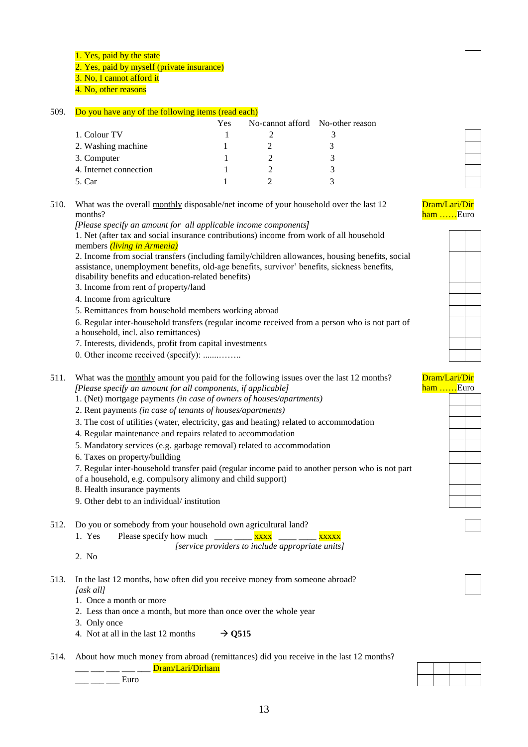1. Yes, paid by the state

2. Yes, paid by myself (private insurance)

3. No, I cannot afford it

4. No, other reasons

#### 509. Do you have any of the following items (read each)

|                        | Yes | No-cannot afford No-other reason |  |
|------------------------|-----|----------------------------------|--|
| 1. Colour TV           |     |                                  |  |
| 2. Washing machine     |     |                                  |  |
| 3. Computer            |     |                                  |  |
| 4. Internet connection |     |                                  |  |
| 5. Car                 |     |                                  |  |

510. What was the overall monthly disposable/net income of your household over the last 12 months?

*[Please specify an amount for all applicable income components]*

1. Net (after tax and social insurance contributions) income from work of all household members *(living in Armenia)*

2. Income from social transfers (including family/children allowances, housing benefits, social assistance, unemployment benefits, old-age benefits, survivor' benefits, sickness benefits, disability benefits and education-related benefits)

3. Income from rent of property/land

4. Income from agriculture

5. Remittances from household members working abroad

6. Regular inter-household transfers (regular income received from a person who is not part of a household, incl. also remittances)

7. Interests, dividends, profit from capital investments

0. Other income received (specify): .......……..

511. What was the monthly amount you paid for the following issues over the last 12 months? *[Please specify an amount for all components, if applicable]*

1. (Net) mortgage payments *(in case of owners of houses/apartments)*

2. Rent payments *(in case of tenants of houses/apartments)* 

3. The cost of utilities (water, electricity, gas and heating) related to accommodation

4. Regular maintenance and repairs related to accommodation

5. Mandatory services (e.g. garbage removal) related to accommodation

6. Taxes on property/building

7. Regular inter-household transfer paid (regular income paid to another person who is not part

of a household, e.g. compulsory alimony and child support)

8. Health insurance payments

9. Other debt to an individual/ institution

512. Do you or somebody from your household own agricultural land?

1. Yes Please specify how much  $\frac{1}{2}$   $\frac{1}{2}$   $\frac{1}{2}$   $\frac{1}{2}$   $\frac{1}{2}$   $\frac{1}{2}$   $\frac{1}{2}$   $\frac{1}{2}$   $\frac{1}{2}$   $\frac{1}{2}$   $\frac{1}{2}$   $\frac{1}{2}$   $\frac{1}{2}$   $\frac{1}{2}$   $\frac{1}{2}$   $\frac{1}{2}$   $\frac{1}{2}$   $\frac{1}{2}$   $\frac{1}{2}$ 

*[service providers to include appropriate units]*

2. No

513. In the last 12 months, how often did you receive money from someone abroad? *[ask all]*

1. Once a month or more

2. Less than once a month, but more than once over the whole year

3. Only once

4. Not at all in the last 12 months  $\rightarrow$  0515

514. About how much money from abroad (remittances) did you receive in the last 12 months?

\_ Dram/Lari/Dirham

 $\frac{1}{2}$  Euro

## Dram/Lari/Dir ham ……Euro



#### Dram/Lari/Dir ham .....Euro